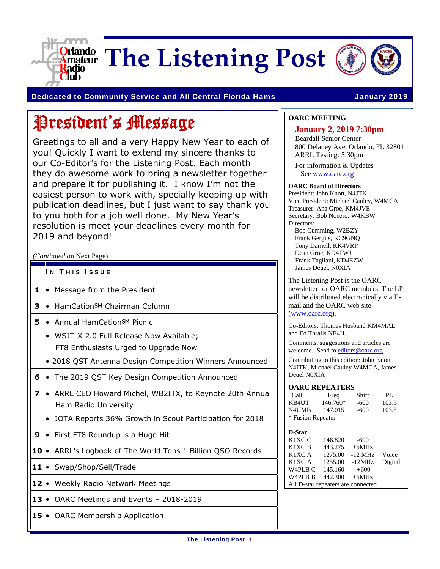

**Criando** The Listening Post



Dedicated to Community Service and All Central Florida Hams **January 2019** 

# President's Message

Greetings to all and a very Happy New Year to each of you! Quickly I want to extend my sincere thanks to our Co-Editor's for the Listening Post. Each month they do awesome work to bring a newsletter together and prepare it for publishing it. I know I'm not the easiest person to work with, specially keeping up with publication deadlines, but I just want to say thank you to you both for a job well done. My New Year's resolution is meet your deadlines every month for 2019 and beyond!

*(Continued* on Next Page)

- IN THIS ISSUE
- **1**  Message from the President
- **3** HamCation<sub>SM</sub> Chairman Column
- **5** Annual HamCation<sub>SM</sub> Picnic
	- WSJT-X 2.0 Full Release Now Available; FT8 Enthusiasts Urged to Upgrade Now
	- 2018 QST Antenna Design Competition Winners Announced
- **6**  The 2019 QST Key Design Competition Announced
- **7**  ARRL CEO Howard Michel, WB2ITX, to Keynote 20th Annual Ham Radio University
	- JOTA Reports 36% Growth in Scout Participation for 2018
- **9**  First FT8 Roundup is a Huge Hit
- **10**  ARRL's Logbook of The World Tops 1 Billion QSO Records
- 11 Swap/Shop/Sell/Trade
- **12**  Weekly Radio Network Meetings
- **13**  OARC Meetings and Events 2018-2019
- **15**  OARC Membership Application

#### **OARC MEETING**

#### **January 2, 2019 7:30pm**  Beardall Senior Center 800 Delaney Ave, Orlando, FL 32801 ARRL Testing: 5:30pm

For information & Updates See www.oarc.org

#### **OARC Board of Directors**  President: John Knott, N4JTK Vice President: Michael Cauley, W4MCA Treasurer: Ana Groe, KM4JVE Secretary: Bob Nocero, W4KBW Directors: Bob Cumming, W2BZY Frank Gergits, KC9GNQ

Tony Darnell, KK4VRP Dean Groe, KD4TWJ Frank Tagliani, KD4EZW James Deuel, N0XIA

The Listening Post is the OARC newsletter for OARC members. The LP will be distributed electronically via Email and the OARC web site (www.oarc.org).

Co-Editors: Thomas Husband KM4MAL and Ed Thralls NE4H.

Comments, suggestions and articles are welcome. Send to editors@oarc.org.

Contributing to this edition: John Knott N4JTK, Michael Cauley W4MCA, James Deuel N0XIA

#### **OARC REPEATERS**

| Call              | Freq     | Shift  | PI.   |  |
|-------------------|----------|--------|-------|--|
| KB4UT             | 146.760* | $-600$ | 103.5 |  |
| <b>N4UMB</b>      | 147.015  | -600   | 103.5 |  |
| * Fusion Repeater |          |        |       |  |

| D-Star                             |         |           |         |
|------------------------------------|---------|-----------|---------|
| K1XC C                             | 146.820 | $-600$    |         |
| K1XC B                             | 443.275 | $+5MHz$   |         |
| K1XC A                             | 1275.00 | $-12$ MHz | Voice   |
| K1XC A                             | 1255.00 | $-12MHz$  | Digital |
| W4PLB C                            | 145.160 | $+600$    |         |
| W <sub>4</sub> PL <sub>B</sub> B   | 442.300 | $+5MHz$   |         |
| All D-star repeaters are connected |         |           |         |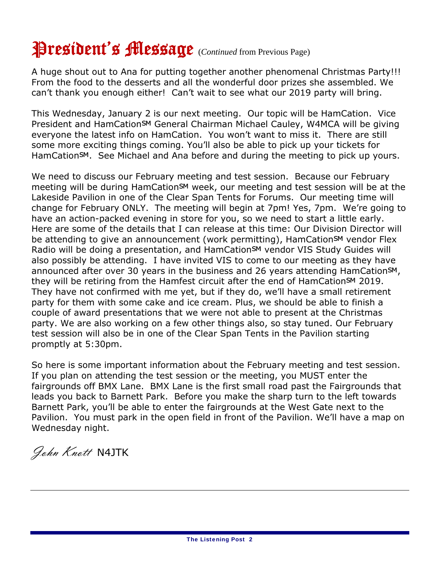# President's Message (*Continued* from Previous Page)

A huge shout out to Ana for putting together another phenomenal Christmas Party!!! From the food to the desserts and all the wonderful door prizes she assembled. We can't thank you enough either! Can't wait to see what our 2019 party will bring.

This Wednesday, January 2 is our next meeting. Our topic will be HamCation. Vice President and HamCationSM General Chairman Michael Cauley, W4MCA will be giving everyone the latest info on HamCation. You won't want to miss it. There are still some more exciting things coming. You'll also be able to pick up your tickets for HamCation<sup>SM</sup>. See Michael and Ana before and during the meeting to pick up yours.

We need to discuss our February meeting and test session. Because our February meeting will be during HamCation<sup>SM</sup> week, our meeting and test session will be at the Lakeside Pavilion in one of the Clear Span Tents for Forums. Our meeting time will change for February ONLY. The meeting will begin at 7pm! Yes, 7pm. We're going to have an action-packed evening in store for you, so we need to start a little early. Here are some of the details that I can release at this time: Our Division Director will be attending to give an announcement (work permitting), HamCation<sup>SM</sup> vendor Flex Radio will be doing a presentation, and HamCation<sup>SM</sup> vendor VIS Study Guides will also possibly be attending. I have invited VIS to come to our meeting as they have announced after over 30 years in the business and 26 years attending HamCationSM, they will be retiring from the Hamfest circuit after the end of HamCation<sup>SM</sup> 2019. They have not confirmed with me yet, but if they do, we'll have a small retirement party for them with some cake and ice cream. Plus, we should be able to finish a couple of award presentations that we were not able to present at the Christmas party. We are also working on a few other things also, so stay tuned. Our February test session will also be in one of the Clear Span Tents in the Pavilion starting promptly at 5:30pm.

So here is some important information about the February meeting and test session. If you plan on attending the test session or the meeting, you MUST enter the fairgrounds off BMX Lane. BMX Lane is the first small road past the Fairgrounds that leads you back to Barnett Park. Before you make the sharp turn to the left towards Barnett Park, you'll be able to enter the fairgrounds at the West Gate next to the Pavilion. You must park in the open field in front of the Pavilion. We'll have a map on Wednesday night.

John Knott N4JTK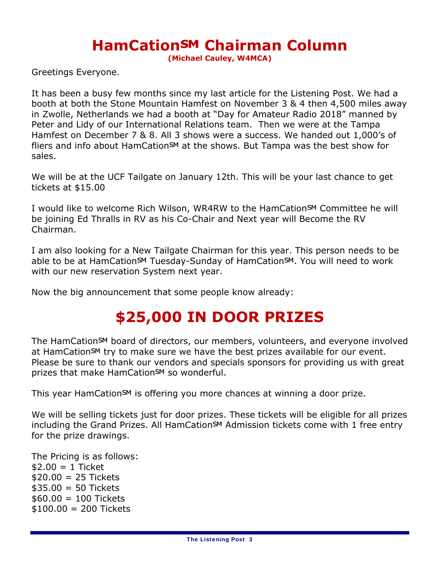#### **HamCation<sup>SM</sup> Chairman Column**

**(Michael Cauley, W4MCA)**

Greetings Everyone.

It has been a busy few months since my last article for the Listening Post. We had a booth at both the Stone Mountain Hamfest on November 3 & 4 then 4,500 miles away in Zwolle, Netherlands we had a booth at "Day for Amateur Radio 2018" manned by Peter and Lidy of our International Relations team. Then we were at the Tampa Hamfest on December 7 & 8. All 3 shows were a success. We handed out 1,000's of fliers and info about HamCation<sup>SM</sup> at the shows. But Tampa was the best show for sales.

We will be at the UCF Tailgate on January 12th. This will be your last chance to get tickets at \$15.00

I would like to welcome Rich Wilson, WR4RW to the HamCation<sup>SM</sup> Committee he will be joining Ed Thralls in RV as his Co-Chair and Next year will Become the RV Chairman.

I am also looking for a New Tailgate Chairman for this year. This person needs to be able to be at HamCationSM Tuesday-Sunday of HamCationSM. You will need to work with our new reservation System next year.

Now the big announcement that some people know already:

#### **\$25,000 IN DOOR PRIZES**

The HamCation<sup>SM</sup> board of directors, our members, volunteers, and everyone involved at HamCation<sup>SM</sup> try to make sure we have the best prizes available for our event. Please be sure to thank our vendors and specials sponsors for providing us with great prizes that make HamCation<sup>SM</sup> so wonderful.

This year HamCationSM is offering you more chances at winning a door prize.

We will be selling tickets just for door prizes. These tickets will be eligible for all prizes including the Grand Prizes. All HamCation<sup>SM</sup> Admission tickets come with 1 free entry for the prize drawings.

The Pricing is as follows:  $$2.00 = 1$  Ticket  $$20.00 = 25$  Tickets  $$35.00 = 50$  Tickets  $$60.00 = 100$  Tickets  $$100.00 = 200$  Tickets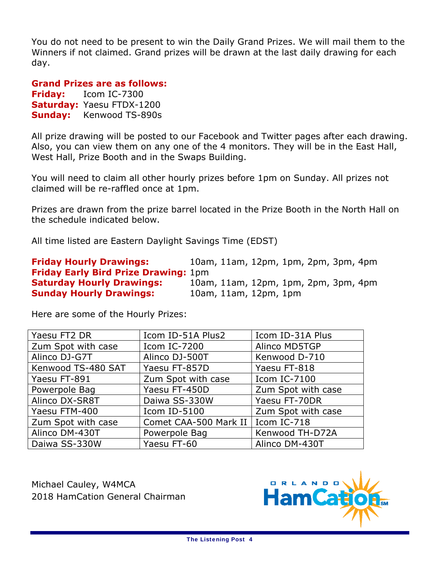You do not need to be present to win the Daily Grand Prizes. We will mail them to the Winners if not claimed. Grand prizes will be drawn at the last daily drawing for each day.

#### **Grand Prizes are as follows:**

**Friday:** Icom IC-7300 **Saturday:** Yaesu FTDX-1200 **Sunday:** Kenwood TS-890s

All prize drawing will be posted to our Facebook and Twitter pages after each drawing. Also, you can view them on any one of the 4 monitors. They will be in the East Hall, West Hall, Prize Booth and in the Swaps Building.

You will need to claim all other hourly prizes before 1pm on Sunday. All prizes not claimed will be re-raffled once at 1pm.

Prizes are drawn from the prize barrel located in the Prize Booth in the North Hall on the schedule indicated below.

All time listed are Eastern Daylight Savings Time (EDST)

**Friday Hourly Drawings:** 10am, 11am, 12pm, 1pm, 2pm, 3pm, 4pm **Friday Early Bird Prize Drawing:** 1pm **Saturday Hourly Drawings:** 10am, 11am, 12pm, 1pm, 2pm, 3pm, 4pm **Sunday Hourly Drawings:** 10am, 11am, 12pm, 1pm

Here are some of the Hourly Prizes:

| Yaesu FT2 DR       | Icom ID-51A Plus2     | Icom ID-31A Plus   |
|--------------------|-----------------------|--------------------|
| Zum Spot with case | Icom IC-7200          | Alinco MD5TGP      |
| Alinco DJ-G7T      | Alinco DJ-500T        | Kenwood D-710      |
| Kenwood TS-480 SAT | Yaesu FT-857D         | Yaesu FT-818       |
| Yaesu FT-891       | Zum Spot with case    | Icom IC-7100       |
| Powerpole Bag      | Yaesu FT-450D         | Zum Spot with case |
| Alinco DX-SR8T     | Daiwa SS-330W         | Yaesu FT-70DR      |
| Yaesu FTM-400      | Icom ID-5100          | Zum Spot with case |
| Zum Spot with case | Comet CAA-500 Mark II | Icom IC-718        |
| Alinco DM-430T     | Powerpole Bag         | Kenwood TH-D72A    |
| Daiwa SS-330W      | Yaesu FT-60           | Alinco DM-430T     |

Michael Cauley, W4MCA 2018 HamCation General Chairman

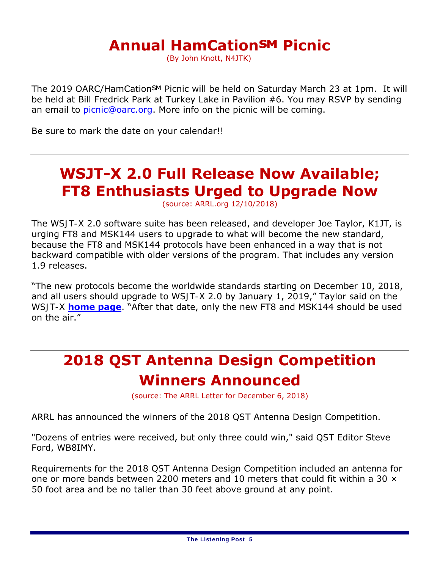#### **Annual HamCation<sup>SM</sup> Picnic**

(By John Knott, N4JTK)

The 2019 OARC/HamCation<sup>SM</sup> Picnic will be held on Saturday March 23 at 1pm. It will be held at Bill Fredrick Park at Turkey Lake in Pavilion #6. You may RSVP by sending an email to picnic@oarc.org. More info on the picnic will be coming.

Be sure to mark the date on your calendar!!

### **WSJT-X 2.0 Full Release Now Available; FT8 Enthusiasts Urged to Upgrade Now**

(source: ARRL.org 12/10/2018)

The *WSJT-X* 2.0 software suite has been released, and developer Joe Taylor, K1JT, is urging FT8 and MSK144 users to upgrade to what will become the new standard, because the FT8 and MSK144 protocols have been enhanced in a way that is *not* backward compatible with older versions of the program. That includes any version 1.9 releases.

"The new protocols become the worldwide standards starting on December 10, 2018, and all users should upgrade to *WSJT-X 2.0* by January 1, 2019," Taylor said on the *WSJT-X* **home page**. "After that date, only the new FT8 and MSK144 should be used on the air."

### **2018 QST Antenna Design Competition Winners Announced**

(source: The ARRL Letter for December 6, 2018)

ARRL has announced the winners of the 2018 *QST* Antenna Design Competition.

"Dozens of entries were received, but only three could win," said *QST* Editor Steve Ford, WB8IMY.

Requirements for the 2018 *QST* Antenna Design Competition included an antenna for one or more bands between 2200 meters and 10 meters that could fit within a 30  $\times$ 50 foot area and be no taller than 30 feet above ground at any point.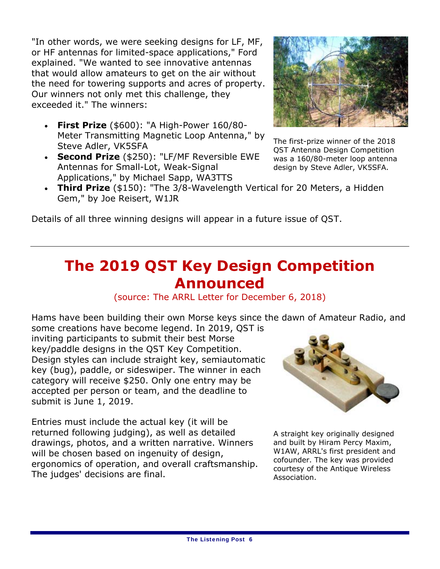"In other words, we were seeking designs for LF, MF, or HF antennas for limited-space applications," Ford explained. "We wanted to see innovative antennas that would allow amateurs to get on the air without the need for towering supports and acres of property. Our winners not only met this challenge, they exceeded it." The winners:

- **First Prize** (\$600): "A High-Power 160/80- Meter Transmitting Magnetic Loop Antenna," by Steve Adler, VK5SFA
- **Second Prize** (\$250): "LF/MF Reversible EWE Antennas for Small-Lot, Weak-Signal Applications," by Michael Sapp, WA3TTS



The first-prize winner of the 2018 *QST* Antenna Design Competition was a 160/80-meter loop antenna design by Steve Adler, VK5SFA.

 **Third Prize** (\$150): "The 3/8-Wavelength Vertical for 20 Meters, a Hidden Gem," by Joe Reisert, W1JR

Details of all three winning designs will appear in a future issue of *QST*.

#### **The 2019** *QST* **Key Design Competition Announced**

(source: The ARRL Letter for December 6, 2018)

Hams have been building their own Morse keys since the dawn of Amateur Radio, and some creations have become legend. In 2019, *QST* is

inviting participants to submit their best Morse key/paddle designs in the *QST* Key Competition. Design styles can include straight key, semiautomatic key (bug), paddle, or sideswiper. The winner in each category will receive \$250. Only one entry may be accepted per person or team, and the deadline to submit is June 1, 2019.

Entries must include the actual key (it will be returned following judging), as well as detailed drawings, photos, and a written narrative. Winners will be chosen based on ingenuity of design, ergonomics of operation, and overall craftsmanship. The judges' decisions are final.



A straight key originally designed and built by Hiram Percy Maxim, W1AW, ARRL's first president and cofounder. The key was provided courtesy of the Antique Wireless Association.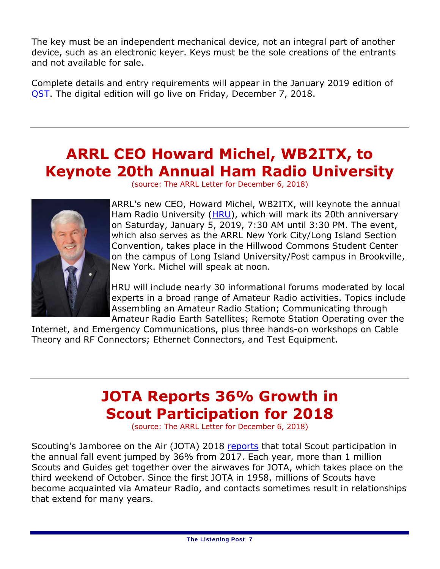The key must be an independent mechanical device, not an integral part of another device, such as an electronic keyer. Keys must be the sole creations of the entrants and not available for sale.

Complete details and entry requirements will appear in the January 2019 edition of *QST*. The digital edition will go live on Friday, December 7, 2018.

### **ARRL CEO Howard Michel, WB2ITX, to Keynote 20th Annual Ham Radio University**





ARRL's new CEO, Howard Michel, WB2ITX, will keynote the annual Ham Radio University (HRU), which will mark its 20th anniversary on Saturday, January 5, 2019, 7:30 AM until 3:30 PM. The event, which also serves as the ARRL New York City/Long Island Section Convention, takes place in the Hillwood Commons Student Center on the campus of Long Island University/Post campus in Brookville, New York. Michel will speak at noon.

HRU will include nearly 30 informational forums moderated by local experts in a broad range of Amateur Radio activities. Topics include Assembling an Amateur Radio Station; Communicating through Amateur Radio Earth Satellites; Remote Station Operating over the

Internet, and Emergency Communications, plus three hands-on workshops on Cable Theory and RF Connectors; Ethernet Connectors, and Test Equipment.

### **JOTA Reports 36% Growth in Scout Participation for 2018**

(source: The ARRL Letter for December 6, 2018)

Scouting's Jamboree on the Air (JOTA) 2018 reports that total Scout participation in the annual fall event jumped by 36% from 2017. Each year, more than 1 million Scouts and Guides get together over the airwaves for JOTA, which takes place on the third weekend of October. Since the first JOTA in 1958, millions of Scouts have become acquainted via Amateur Radio, and contacts sometimes result in relationships that extend for many years.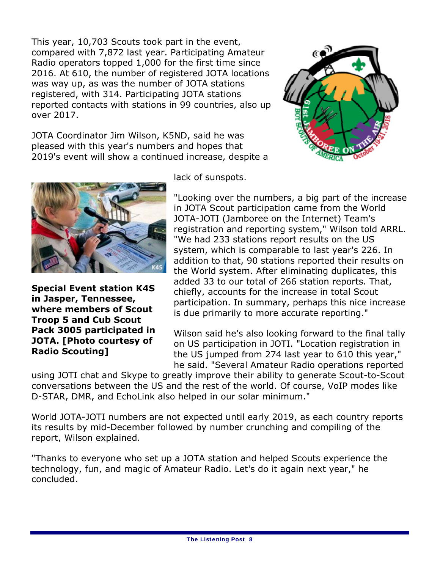This year, 10,703 Scouts took part in the event, compared with 7,872 last year. Participating Amateur Radio operators topped 1,000 for the first time since 2016. At 610, the number of registered JOTA locations was way up, as was the number of JOTA stations registered, with 314. Participating JOTA stations reported contacts with stations in 99 countries, also up over 2017.



JOTA Coordinator Jim Wilson, K5ND, said he was pleased with this year's numbers and hopes that 2019's event will show a continued increase, despite a



**Special Event station K4S in Jasper, Tennessee, where members of Scout Troop 5 and Cub Scout Pack 3005 participated in JOTA. [Photo courtesy of Radio Scouting]**

lack of sunspots.

"Looking over the numbers, a big part of the increase in JOTA Scout participation came from the World JOTA-JOTI (Jamboree on the Internet) Team's registration and reporting system," Wilson told ARRL. "We had 233 stations report results on the US system, which is comparable to last year's 226. In addition to that, 90 stations reported their results on the World system. After eliminating duplicates, this added 33 to our total of 266 station reports. That, chiefly, accounts for the increase in total Scout participation. In summary, perhaps this nice increase is due primarily to more accurate reporting."

Wilson said he's also looking forward to the final tally on US participation in JOTI. "Location registration in the US jumped from 274 last year to 610 this year," he said. "Several Amateur Radio operations reported

using JOTI chat and Skype to greatly improve their ability to generate Scout-to-Scout conversations between the US and the rest of the world. Of course, VoIP modes like D-STAR, DMR, and EchoLink also helped in our solar minimum."

World JOTA-JOTI numbers are not expected until early 2019, as each country reports its results by mid-December followed by number crunching and compiling of the report, Wilson explained.

"Thanks to everyone who set up a JOTA station and helped Scouts experience the technology, fun, and magic of Amateur Radio. Let's do it again next year," he concluded.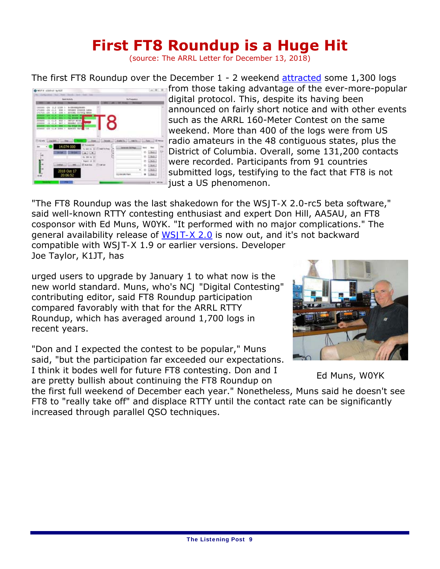### **First FT8 Roundup is a Huge Hit**

(source: The ARRL Letter for December 13, 2018)

The first FT8 Roundup over the December 1 - 2 weekend attracted some 1,300 logs



**From those taking advantage of the ever-more-popular** digital protocol. This, despite its having been announced on fairly short notice and with other events such as the ARRL 160-Meter Contest on the same weekend. More than 400 of the logs were from US radio amateurs in the 48 contiguous states, plus the District of Columbia. Overall, some 131,200 contacts were recorded. Participants from 91 countries submitted logs, testifying to the fact that FT8 is not just a US phenomenon.

"The FT8 Roundup was the last shakedown for the *WSJT-X* 2.0-rc5 beta software," said well-known RTTY contesting enthusiast and expert Don Hill, AA5AU, an FT8 cosponsor with Ed Muns, W0YK. "It performed with no major complications." The general availability release of *WSJT-X 2.0* is now out, and it's not backward compatible with *WSJT-X* 1.9 or earlier versions. Developer Joe Taylor, K1JT, has

urged users to upgrade by January 1 to what now is the new world standard. Muns, who's *NCJ* "Digital Contesting" contributing editor, said FT8 Roundup participation compared favorably with that for the ARRL RTTY Roundup, which has averaged around 1,700 logs in recent years.

"Don and I expected the contest to be popular," Muns said, "but the participation far exceeded our expectations. I think it bodes well for future FT8 contesting. Don and I are pretty bullish about continuing the FT8 Roundup on



Ed Muns, W0YK

the first full weekend of December each year." Nonetheless, Muns said he doesn't see FT8 to "really take off" and displace RTTY until the contact rate can be significantly increased through parallel QSO techniques.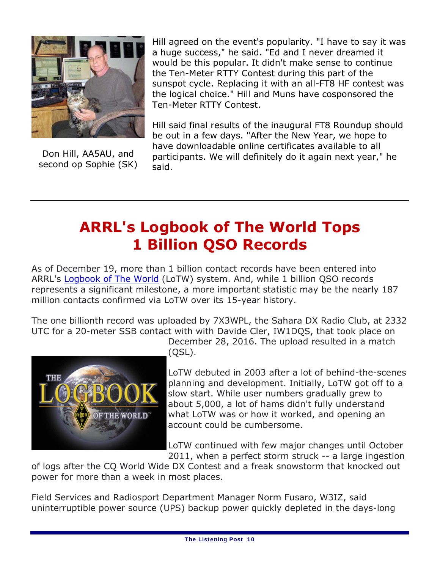

Don Hill, AA5AU, and second op Sophie (SK)

Hill agreed on the event's popularity. "I have to say it was a huge success," he said. "Ed and I never dreamed it would be this popular. It didn't make sense to continue the Ten-Meter RTTY Contest during this part of the sunspot cycle. Replacing it with an all-FT8 HF contest was the logical choice." Hill and Muns have cosponsored the Ten-Meter RTTY Contest.

Hill said final results of the inaugural FT8 Roundup should be out in a few days. "After the New Year, we hope to have downloadable online certificates available to all participants. We will definitely do it again next year," he said.

#### **ARRL's Logbook of The World Tops 1 Billion QSO Records**

As of December 19, more than 1 billion contact records have been entered into ARRL's Logbook of The World (LoTW) system. And, while 1 billion QSO records represents a significant milestone, a more important statistic may be the nearly 187 million contacts confirmed via LoTW over its 15-year history.

The one billionth record was uploaded by 7X3WPL, the Sahara DX Radio Club, at 2332 UTC for a 20-meter SSB contact with with Davide Cler, IW1DQS, that took place on



December 28, 2016. The upload resulted in a match (QSL).

LoTW debuted in 2003 after a lot of behind-the-scenes planning and development. Initially, LoTW got off to a slow start. While user numbers gradually grew to about 5,000, a lot of hams didn't fully understand what LoTW was or how it worked, and opening an account could be cumbersome.

LoTW continued with few major changes until October 2011, when a perfect storm struck -- a large ingestion

of logs after the CQ World Wide DX Contest and a freak snowstorm that knocked out power for more than a week in most places.

Field Services and Radiosport Department Manager Norm Fusaro, W3IZ, said uninterruptible power source (UPS) backup power quickly depleted in the days-long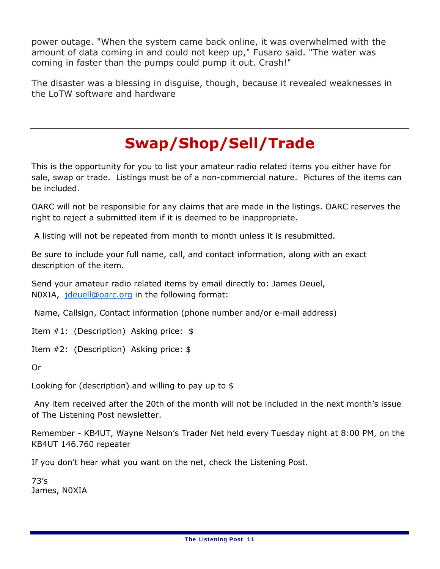power outage. "When the system came back online, it was overwhelmed with the amount of data coming in and could not keep up," Fusaro said. "The water was coming in faster than the pumps could pump it out. *Crash!*"

The disaster was a blessing in disguise, though, because it revealed weaknesses in the LoTW software and hardware

## **Swap/Shop/Sell/Trade**

This is the opportunity for you to list your amateur radio related items you either have for sale, swap or trade. Listings must be of a non-commercial nature. Pictures of the items can be included.

OARC will not be responsible for any claims that are made in the listings. OARC reserves the right to reject a submitted item if it is deemed to be inappropriate.

A listing will not be repeated from month to month unless it is resubmitted.

Be sure to include your full name, call, and contact information, along with an exact description of the item.

Send your amateur radio related items by email directly to: James Deuel, N0XIA, jdeuell@oarc.org in the following format:

Name, Callsign, Contact information (phone number and/or e-mail address)

Item #1: (Description) Asking price: \$

Item #2: (Description) Asking price: \$

Or

Looking for (description) and willing to pay up to \$

 Any item received after the 20th of the month will not be included in the next month's issue of *The Listening Post* newsletter.

Remember - KB4UT, Wayne Nelson's Trader Net held every Tuesday night at 8:00 PM, on the KB4UT 146.760 repeater

If you don't hear what you want on the net, check the Listening Post.

73's James, N0XIA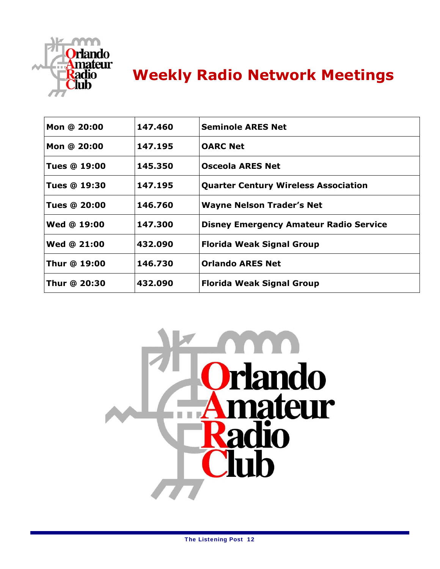

### **Weekly Radio Network Meetings**

| Mon @ 20:00         | 147.460 | <b>Seminole ARES Net</b>                      |
|---------------------|---------|-----------------------------------------------|
| Mon @ 20:00         | 147.195 | <b>OARC Net</b>                               |
| <b>Tues @ 19:00</b> | 145.350 | <b>Osceola ARES Net</b>                       |
| <b>Tues @ 19:30</b> | 147.195 | <b>Quarter Century Wireless Association</b>   |
| <b>Tues @ 20:00</b> | 146.760 | <b>Wayne Nelson Trader's Net</b>              |
| Wed @ 19:00         | 147.300 | <b>Disney Emergency Amateur Radio Service</b> |
| <b>Wed @ 21:00</b>  | 432.090 | <b>Florida Weak Signal Group</b>              |
| Thur @ 19:00        | 146.730 | <b>Orlando ARES Net</b>                       |
| Thur @ 20:30        | 432.090 | <b>Florida Weak Signal Group</b>              |
|                     |         |                                               |

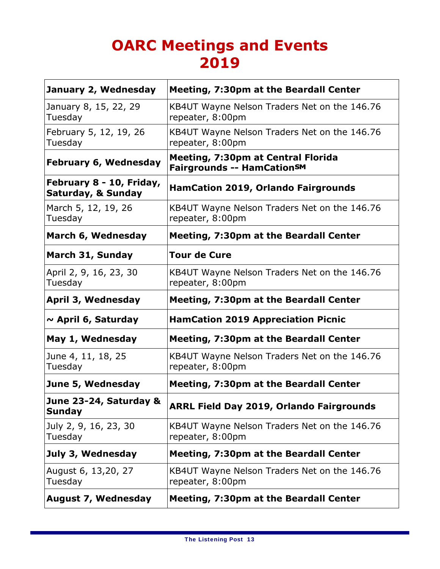### **OARC Meetings and Events 2019**

| January 2, Wednesday                           | <b>Meeting, 7:30pm at the Beardall Center</b>                           |
|------------------------------------------------|-------------------------------------------------------------------------|
| January 8, 15, 22, 29<br>Tuesday               | KB4UT Wayne Nelson Traders Net on the 146.76<br>repeater, 8:00pm        |
| February 5, 12, 19, 26<br>Tuesday              | KB4UT Wayne Nelson Traders Net on the 146.76<br>repeater, 8:00pm        |
| <b>February 6, Wednesday</b>                   | <b>Meeting, 7:30pm at Central Florida</b><br>Fairgrounds -- HamCationSM |
| February 8 - 10, Friday,<br>Saturday, & Sunday | <b>HamCation 2019, Orlando Fairgrounds</b>                              |
| March 5, 12, 19, 26<br>Tuesday                 | KB4UT Wayne Nelson Traders Net on the 146.76<br>repeater, 8:00pm        |
| March 6, Wednesday                             | <b>Meeting, 7:30pm at the Beardall Center</b>                           |
| March 31, Sunday                               | <b>Tour de Cure</b>                                                     |
| April 2, 9, 16, 23, 30<br>Tuesday              | KB4UT Wayne Nelson Traders Net on the 146.76<br>repeater, 8:00pm        |
|                                                |                                                                         |
| April 3, Wednesday                             | <b>Meeting, 7:30pm at the Beardall Center</b>                           |
| $\sim$ April 6, Saturday                       | <b>HamCation 2019 Appreciation Picnic</b>                               |
| May 1, Wednesday                               | <b>Meeting, 7:30pm at the Beardall Center</b>                           |
| June 4, 11, 18, 25<br>Tuesday                  | KB4UT Wayne Nelson Traders Net on the 146.76<br>repeater, 8:00pm        |
| June 5, Wednesday                              | <b>Meeting, 7:30pm at the Beardall Center</b>                           |
| June 23-24, Saturday &<br><b>Sunday</b>        | <b>ARRL Field Day 2019, Orlando Fairgrounds</b>                         |
| July 2, 9, 16, 23, 30<br>Tuesday               | KB4UT Wayne Nelson Traders Net on the 146.76<br>repeater, 8:00pm        |
| July 3, Wednesday                              | <b>Meeting, 7:30pm at the Beardall Center</b>                           |
| August 6, 13,20, 27<br>Tuesday                 | KB4UT Wayne Nelson Traders Net on the 146.76<br>repeater, 8:00pm        |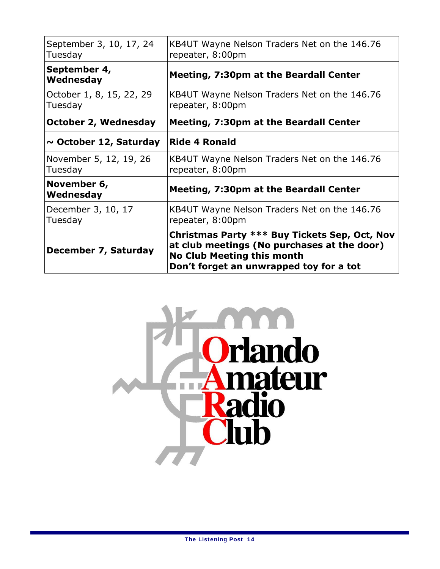| September 3, 10, 17, 24<br>Tuesday  | KB4UT Wayne Nelson Traders Net on the 146.76<br>repeater, 8:00pm                                                                                                             |  |
|-------------------------------------|------------------------------------------------------------------------------------------------------------------------------------------------------------------------------|--|
| September 4,<br>Wednesday           | <b>Meeting, 7:30pm at the Beardall Center</b>                                                                                                                                |  |
| October 1, 8, 15, 22, 29<br>Tuesday | KB4UT Wayne Nelson Traders Net on the 146.76<br>repeater, 8:00pm                                                                                                             |  |
| October 2, Wednesday                | <b>Meeting, 7:30pm at the Beardall Center</b>                                                                                                                                |  |
| $\sim$ October 12, Saturday         | <b>Ride 4 Ronald</b>                                                                                                                                                         |  |
| November 5, 12, 19, 26<br>Tuesday   | KB4UT Wayne Nelson Traders Net on the 146.76<br>repeater, 8:00pm                                                                                                             |  |
| November 6,<br>Wednesday            | <b>Meeting, 7:30pm at the Beardall Center</b>                                                                                                                                |  |
| December 3, 10, 17<br>Tuesday       | KB4UT Wayne Nelson Traders Net on the 146.76<br>repeater, 8:00pm                                                                                                             |  |
| December 7, Saturday                | Christmas Party *** Buy Tickets Sep, Oct, Nov<br>at club meetings (No purchases at the door)<br><b>No Club Meeting this month</b><br>Don't forget an unwrapped toy for a tot |  |